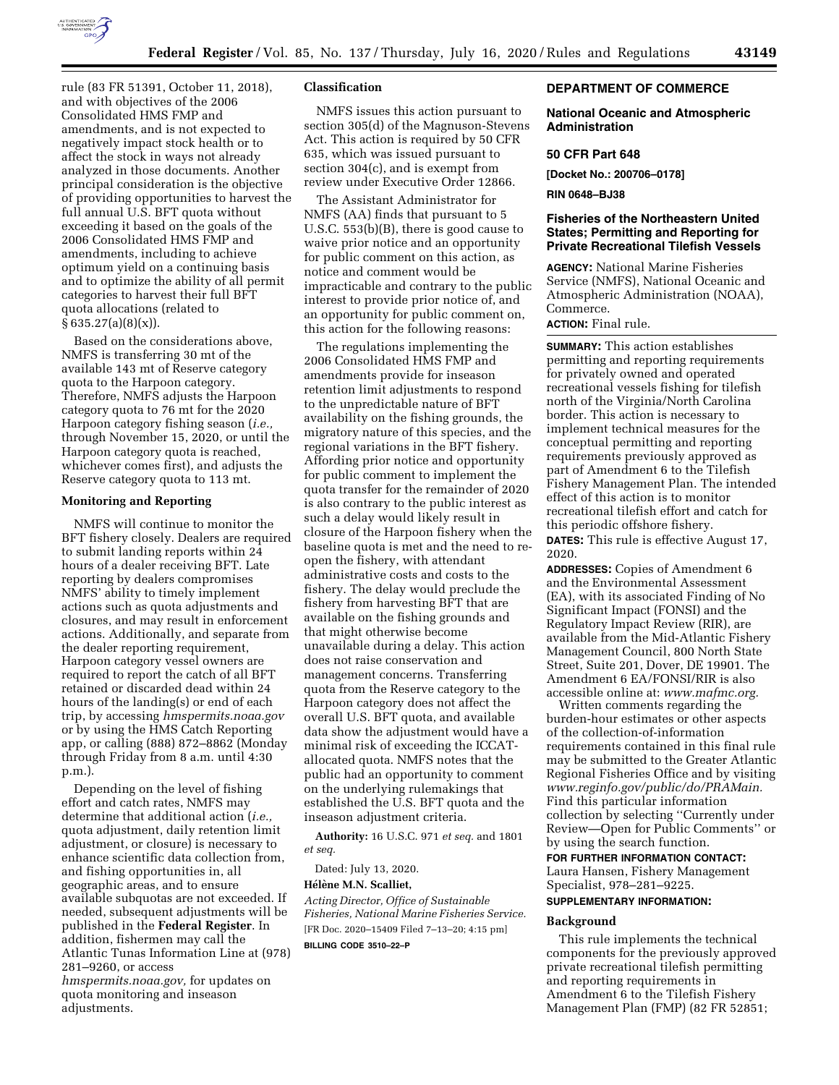

rule (83 FR 51391, October 11, 2018), and with objectives of the 2006 Consolidated HMS FMP and amendments, and is not expected to negatively impact stock health or to affect the stock in ways not already analyzed in those documents. Another principal consideration is the objective of providing opportunities to harvest the full annual U.S. BFT quota without exceeding it based on the goals of the 2006 Consolidated HMS FMP and amendments, including to achieve optimum yield on a continuing basis and to optimize the ability of all permit categories to harvest their full BFT quota allocations (related to  $§ 635.27(a)(8)(x)$ .

Based on the considerations above, NMFS is transferring 30 mt of the available 143 mt of Reserve category quota to the Harpoon category. Therefore, NMFS adjusts the Harpoon category quota to 76 mt for the 2020 Harpoon category fishing season (*i.e.,*  through November 15, 2020, or until the Harpoon category quota is reached, whichever comes first), and adjusts the Reserve category quota to 113 mt.

#### **Monitoring and Reporting**

NMFS will continue to monitor the BFT fishery closely. Dealers are required to submit landing reports within 24 hours of a dealer receiving BFT. Late reporting by dealers compromises NMFS' ability to timely implement actions such as quota adjustments and closures, and may result in enforcement actions. Additionally, and separate from the dealer reporting requirement, Harpoon category vessel owners are required to report the catch of all BFT retained or discarded dead within 24 hours of the landing(s) or end of each trip, by accessing *hmspermits.noaa.gov*  or by using the HMS Catch Reporting app, or calling (888) 872–8862 (Monday through Friday from 8 a.m. until 4:30 p.m.).

Depending on the level of fishing effort and catch rates, NMFS may determine that additional action (*i.e.,*  quota adjustment, daily retention limit adjustment, or closure) is necessary to enhance scientific data collection from, and fishing opportunities in, all geographic areas, and to ensure available subquotas are not exceeded. If needed, subsequent adjustments will be published in the **Federal Register**. In addition, fishermen may call the Atlantic Tunas Information Line at (978) 281–9260, or access

*hmspermits.noaa.gov,* for updates on quota monitoring and inseason adjustments.

## **Classification**

NMFS issues this action pursuant to section 305(d) of the Magnuson-Stevens Act. This action is required by 50 CFR 635, which was issued pursuant to section 304(c), and is exempt from review under Executive Order 12866.

The Assistant Administrator for NMFS (AA) finds that pursuant to 5 U.S.C. 553(b)(B), there is good cause to waive prior notice and an opportunity for public comment on this action, as notice and comment would be impracticable and contrary to the public interest to provide prior notice of, and an opportunity for public comment on, this action for the following reasons:

The regulations implementing the 2006 Consolidated HMS FMP and amendments provide for inseason retention limit adjustments to respond to the unpredictable nature of BFT availability on the fishing grounds, the migratory nature of this species, and the regional variations in the BFT fishery. Affording prior notice and opportunity for public comment to implement the quota transfer for the remainder of 2020 is also contrary to the public interest as such a delay would likely result in closure of the Harpoon fishery when the baseline quota is met and the need to reopen the fishery, with attendant administrative costs and costs to the fishery. The delay would preclude the fishery from harvesting BFT that are available on the fishing grounds and that might otherwise become unavailable during a delay. This action does not raise conservation and management concerns. Transferring quota from the Reserve category to the Harpoon category does not affect the overall U.S. BFT quota, and available data show the adjustment would have a minimal risk of exceeding the ICCATallocated quota. NMFS notes that the public had an opportunity to comment on the underlying rulemakings that established the U.S. BFT quota and the inseason adjustment criteria.

**Authority:** 16 U.S.C. 971 *et seq.* and 1801 *et seq.* 

Dated: July 13, 2020.

#### **Hélène M.N. Scalliet,**

*Acting Director, Office of Sustainable Fisheries, National Marine Fisheries Service.*  [FR Doc. 2020–15409 Filed 7–13–20; 4:15 pm]

**BILLING CODE 3510–22–P** 

### **DEPARTMENT OF COMMERCE**

#### **National Oceanic and Atmospheric Administration**

#### **50 CFR Part 648**

**[Docket No.: 200706–0178]** 

#### **RIN 0648–BJ38**

## **Fisheries of the Northeastern United States; Permitting and Reporting for Private Recreational Tilefish Vessels**

**AGENCY:** National Marine Fisheries Service (NMFS), National Oceanic and Atmospheric Administration (NOAA), Commerce.

## **ACTION:** Final rule.

**SUMMARY:** This action establishes permitting and reporting requirements for privately owned and operated recreational vessels fishing for tilefish north of the Virginia/North Carolina border. This action is necessary to implement technical measures for the conceptual permitting and reporting requirements previously approved as part of Amendment 6 to the Tilefish Fishery Management Plan. The intended effect of this action is to monitor recreational tilefish effort and catch for this periodic offshore fishery. **DATES:** This rule is effective August 17, 2020.

**ADDRESSES:** Copies of Amendment 6 and the Environmental Assessment (EA), with its associated Finding of No Significant Impact (FONSI) and the Regulatory Impact Review (RIR), are available from the Mid-Atlantic Fishery Management Council, 800 North State Street, Suite 201, Dover, DE 19901. The Amendment 6 EA/FONSI/RIR is also accessible online at: *[www.mafmc.org.](http://www.mafmc.org)* 

Written comments regarding the burden-hour estimates or other aspects of the collection-of-information requirements contained in this final rule may be submitted to the Greater Atlantic Regional Fisheries Office and by visiting *[www.reginfo.gov/public/do/PRAMain.](http://www.reginfo.gov/public/do/PRAMain)*  Find this particular information collection by selecting ''Currently under Review—Open for Public Comments'' or by using the search function.

#### **FOR FURTHER INFORMATION CONTACT:**

Laura Hansen, Fishery Management Specialist, 978–281–9225.

**SUPPLEMENTARY INFORMATION:** 

#### **Background**

This rule implements the technical components for the previously approved private recreational tilefish permitting and reporting requirements in Amendment 6 to the Tilefish Fishery Management Plan (FMP) (82 FR 52851;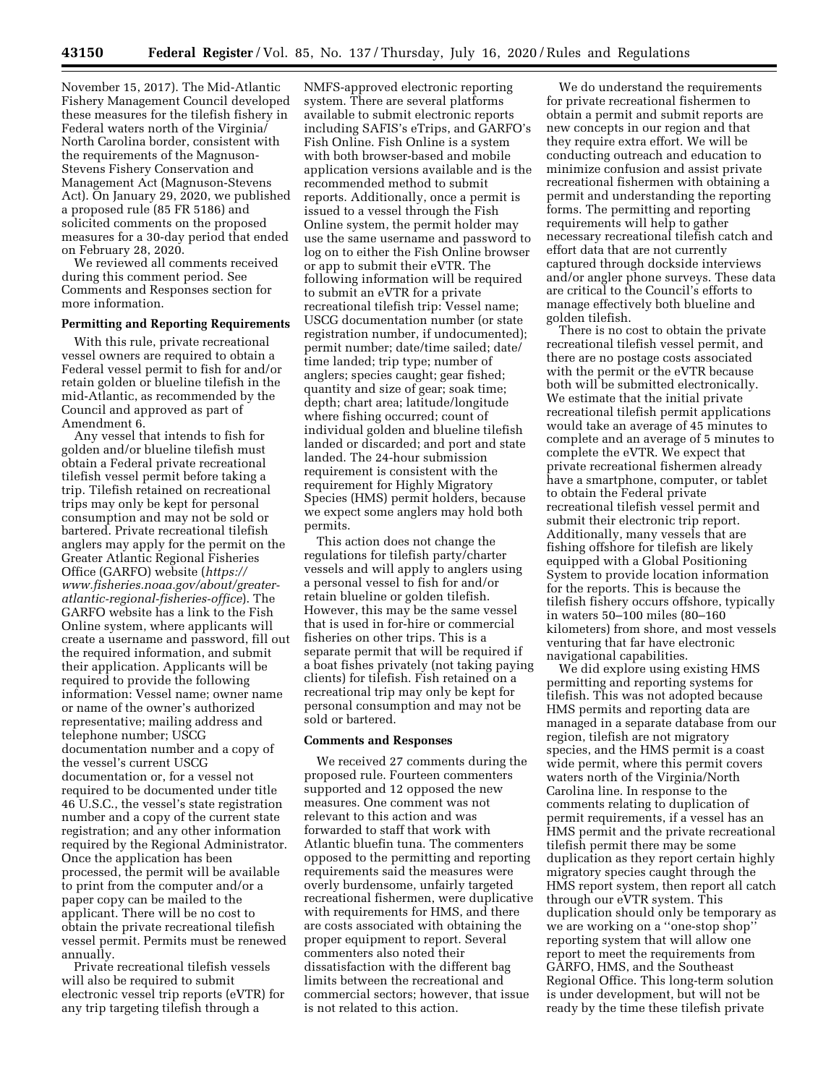November 15, 2017). The Mid-Atlantic Fishery Management Council developed these measures for the tilefish fishery in Federal waters north of the Virginia/ North Carolina border, consistent with the requirements of the Magnuson-Stevens Fishery Conservation and Management Act (Magnuson-Stevens Act). On January 29, 2020, we published a proposed rule (85 FR 5186) and solicited comments on the proposed measures for a 30-day period that ended on February 28, 2020.

We reviewed all comments received during this comment period. See Comments and Responses section for more information.

## **Permitting and Reporting Requirements**

With this rule, private recreational vessel owners are required to obtain a Federal vessel permit to fish for and/or retain golden or blueline tilefish in the mid-Atlantic, as recommended by the Council and approved as part of Amendment 6.

Any vessel that intends to fish for golden and/or blueline tilefish must obtain a Federal private recreational tilefish vessel permit before taking a trip. Tilefish retained on recreational trips may only be kept for personal consumption and may not be sold or bartered. Private recreational tilefish anglers may apply for the permit on the Greater Atlantic Regional Fisheries Office (GARFO) website (*[https://](https://www.fisheries.noaa.gov/about/greater-atlantic-regional-fisheries-office) [www.fisheries.noaa.gov/about/greater](https://www.fisheries.noaa.gov/about/greater-atlantic-regional-fisheries-office)[atlantic-regional-fisheries-office](https://www.fisheries.noaa.gov/about/greater-atlantic-regional-fisheries-office)*). The GARFO website has a link to the Fish Online system, where applicants will create a username and password, fill out the required information, and submit their application. Applicants will be required to provide the following information: Vessel name; owner name or name of the owner's authorized representative; mailing address and telephone number; USCG documentation number and a copy of the vessel's current USCG documentation or, for a vessel not required to be documented under title 46 U.S.C., the vessel's state registration number and a copy of the current state registration; and any other information required by the Regional Administrator. Once the application has been processed, the permit will be available to print from the computer and/or a paper copy can be mailed to the applicant. There will be no cost to obtain the private recreational tilefish vessel permit. Permits must be renewed annually.

Private recreational tilefish vessels will also be required to submit electronic vessel trip reports (eVTR) for any trip targeting tilefish through a

NMFS-approved electronic reporting system. There are several platforms available to submit electronic reports including SAFIS's eTrips, and GARFO's Fish Online. Fish Online is a system with both browser-based and mobile application versions available and is the recommended method to submit reports. Additionally, once a permit is issued to a vessel through the Fish Online system, the permit holder may use the same username and password to log on to either the Fish Online browser or app to submit their eVTR. The following information will be required to submit an eVTR for a private recreational tilefish trip: Vessel name; USCG documentation number (or state registration number, if undocumented); permit number; date/time sailed; date/ time landed; trip type; number of anglers; species caught; gear fished; quantity and size of gear; soak time; depth; chart area; latitude/longitude where fishing occurred; count of individual golden and blueline tilefish landed or discarded; and port and state landed. The 24-hour submission requirement is consistent with the requirement for Highly Migratory Species (HMS) permit holders, because we expect some anglers may hold both permits.

This action does not change the regulations for tilefish party/charter vessels and will apply to anglers using a personal vessel to fish for and/or retain blueline or golden tilefish. However, this may be the same vessel that is used in for-hire or commercial fisheries on other trips. This is a separate permit that will be required if a boat fishes privately (not taking paying clients) for tilefish. Fish retained on a recreational trip may only be kept for personal consumption and may not be sold or bartered.

#### **Comments and Responses**

We received 27 comments during the proposed rule. Fourteen commenters supported and 12 opposed the new measures. One comment was not relevant to this action and was forwarded to staff that work with Atlantic bluefin tuna. The commenters opposed to the permitting and reporting requirements said the measures were overly burdensome, unfairly targeted recreational fishermen, were duplicative with requirements for HMS, and there are costs associated with obtaining the proper equipment to report. Several commenters also noted their dissatisfaction with the different bag limits between the recreational and commercial sectors; however, that issue is not related to this action.

We do understand the requirements for private recreational fishermen to obtain a permit and submit reports are new concepts in our region and that they require extra effort. We will be conducting outreach and education to minimize confusion and assist private recreational fishermen with obtaining a permit and understanding the reporting forms. The permitting and reporting requirements will help to gather necessary recreational tilefish catch and effort data that are not currently captured through dockside interviews and/or angler phone surveys. These data are critical to the Council's efforts to manage effectively both blueline and golden tilefish.

There is no cost to obtain the private recreational tilefish vessel permit, and there are no postage costs associated with the permit or the eVTR because both will be submitted electronically. We estimate that the initial private recreational tilefish permit applications would take an average of 45 minutes to complete and an average of 5 minutes to complete the eVTR. We expect that private recreational fishermen already have a smartphone, computer, or tablet to obtain the Federal private recreational tilefish vessel permit and submit their electronic trip report. Additionally, many vessels that are fishing offshore for tilefish are likely equipped with a Global Positioning System to provide location information for the reports. This is because the tilefish fishery occurs offshore, typically in waters 50–100 miles (80–160 kilometers) from shore, and most vessels venturing that far have electronic navigational capabilities.

We did explore using existing HMS permitting and reporting systems for tilefish. This was not adopted because HMS permits and reporting data are managed in a separate database from our region, tilefish are not migratory species, and the HMS permit is a coast wide permit, where this permit covers waters north of the Virginia/North Carolina line. In response to the comments relating to duplication of permit requirements, if a vessel has an HMS permit and the private recreational tilefish permit there may be some duplication as they report certain highly migratory species caught through the HMS report system, then report all catch through our eVTR system. This duplication should only be temporary as we are working on a ''one-stop shop'' reporting system that will allow one report to meet the requirements from GARFO, HMS, and the Southeast Regional Office. This long-term solution is under development, but will not be ready by the time these tilefish private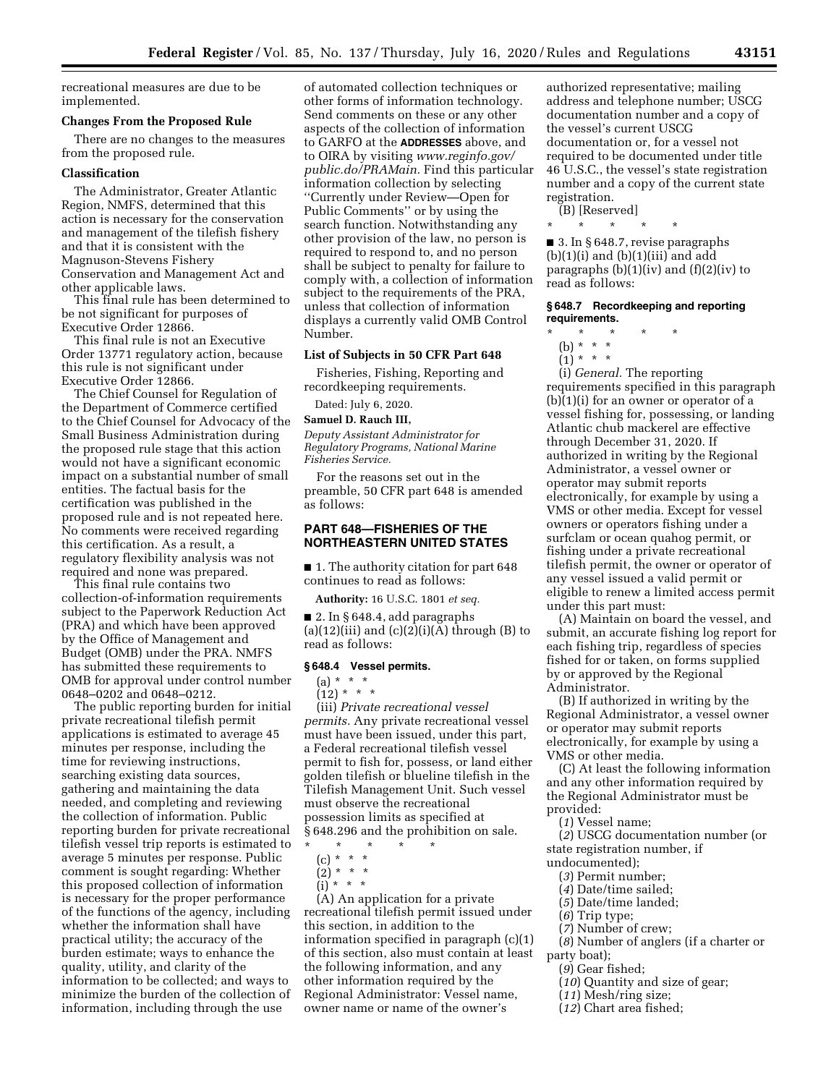recreational measures are due to be implemented.

#### **Changes From the Proposed Rule**

There are no changes to the measures from the proposed rule.

## **Classification**

The Administrator, Greater Atlantic Region, NMFS, determined that this action is necessary for the conservation and management of the tilefish fishery and that it is consistent with the Magnuson-Stevens Fishery Conservation and Management Act and other applicable laws.

This final rule has been determined to be not significant for purposes of Executive Order 12866.

This final rule is not an Executive Order 13771 regulatory action, because this rule is not significant under Executive Order 12866.

The Chief Counsel for Regulation of the Department of Commerce certified to the Chief Counsel for Advocacy of the Small Business Administration during the proposed rule stage that this action would not have a significant economic impact on a substantial number of small entities. The factual basis for the certification was published in the proposed rule and is not repeated here. No comments were received regarding this certification. As a result, a regulatory flexibility analysis was not required and none was prepared.

This final rule contains two collection-of-information requirements subject to the Paperwork Reduction Act (PRA) and which have been approved by the Office of Management and Budget (OMB) under the PRA. NMFS has submitted these requirements to OMB for approval under control number 0648–0202 and 0648–0212.

The public reporting burden for initial private recreational tilefish permit applications is estimated to average 45 minutes per response, including the time for reviewing instructions, searching existing data sources, gathering and maintaining the data needed, and completing and reviewing the collection of information. Public reporting burden for private recreational tilefish vessel trip reports is estimated to average 5 minutes per response. Public comment is sought regarding: Whether this proposed collection of information is necessary for the proper performance of the functions of the agency, including whether the information shall have practical utility; the accuracy of the burden estimate; ways to enhance the quality, utility, and clarity of the information to be collected; and ways to minimize the burden of the collection of information, including through the use

of automated collection techniques or other forms of information technology. Send comments on these or any other aspects of the collection of information to GARFO at the **ADDRESSES** above, and to OIRA by visiting *[www.reginfo.gov/](http://www.reginfo.gov/public.do/PRAMain)  [public.do/PRAMain.](http://www.reginfo.gov/public.do/PRAMain)* Find this particular information collection by selecting ''Currently under Review—Open for Public Comments'' or by using the search function. Notwithstanding any other provision of the law, no person is required to respond to, and no person shall be subject to penalty for failure to comply with, a collection of information subject to the requirements of the PRA, unless that collection of information displays a currently valid OMB Control Number.

## **List of Subjects in 50 CFR Part 648**

Fisheries, Fishing, Reporting and recordkeeping requirements.

Dated: July 6, 2020.

#### **Samuel D. Rauch III,**

*Deputy Assistant Administrator for Regulatory Programs, National Marine Fisheries Service.* 

For the reasons set out in the preamble, 50 CFR part 648 is amended as follows:

## **PART 648—FISHERIES OF THE NORTHEASTERN UNITED STATES**

■ 1. The authority citation for part 648 continues to read as follows:

**Authority:** 16 U.S.C. 1801 *et seq.* 

■ 2. In § 648.4, add paragraphs (a)(12)(iii) and  $(c)(2)(i)(A)$  through (B) to read as follows:

### **§ 648.4 Vessel permits.**

# $(a) * * * *$

 $(12) * * * *$ 

(iii) *Private recreational vessel permits.* Any private recreational vessel must have been issued, under this part, a Federal recreational tilefish vessel permit to fish for, possess, or land either golden tilefish or blueline tilefish in the Tilefish Management Unit. Such vessel must observe the recreational possession limits as specified at § 648.296 and the prohibition on sale.

\* \* \* \* \*

(c) \* \* \*

 $(2) * * * *$  $\int$ i)'\* \* \*

(A) An application for a private recreational tilefish permit issued under this section, in addition to the information specified in paragraph (c)(1) of this section, also must contain at least the following information, and any other information required by the Regional Administrator: Vessel name, owner name or name of the owner's

authorized representative; mailing address and telephone number; USCG documentation number and a copy of the vessel's current USCG documentation or, for a vessel not required to be documented under title 46 U.S.C., the vessel's state registration number and a copy of the current state registration.

(B) [Reserved]

\* \* \* \* \*

■ 3. In § 648.7, revise paragraphs  $(b)(1)(i)$  and  $(b)(1)(iii)$  and add paragraphs  $(b)(1)(iv)$  and  $(f)(2)(iv)$  to read as follows:

### **§ 648.7 Recordkeeping and reporting requirements.**

- \* \* \* \* \*
- (b) \* \* \*  $(1) * * * *$
- 

(i) *General.* The reporting requirements specified in this paragraph  $(b)(1)(i)$  for an owner or operator of a vessel fishing for, possessing, or landing Atlantic chub mackerel are effective through December 31, 2020. If authorized in writing by the Regional Administrator, a vessel owner or operator may submit reports electronically, for example by using a VMS or other media. Except for vessel owners or operators fishing under a surfclam or ocean quahog permit, or fishing under a private recreational tilefish permit, the owner or operator of any vessel issued a valid permit or eligible to renew a limited access permit under this part must:

(A) Maintain on board the vessel, and submit, an accurate fishing log report for each fishing trip, regardless of species fished for or taken, on forms supplied by or approved by the Regional Administrator.

(B) If authorized in writing by the Regional Administrator, a vessel owner or operator may submit reports electronically, for example by using a VMS or other media.

(C) At least the following information and any other information required by the Regional Administrator must be provided:

(*1*) Vessel name;

(*2*) USCG documentation number (or state registration number, if undocumented);

- (*3*) Permit number;
- (*4*) Date/time sailed;
- (*5*) Date/time landed;
- (*6*) Trip type;
- (*7*) Number of crew;
- 
- (*8*) Number of anglers (if a charter or party boat);
- (*9*) Gear fished;
- (*10*) Quantity and size of gear;
- (*11*) Mesh/ring size;
- (*12*) Chart area fished;